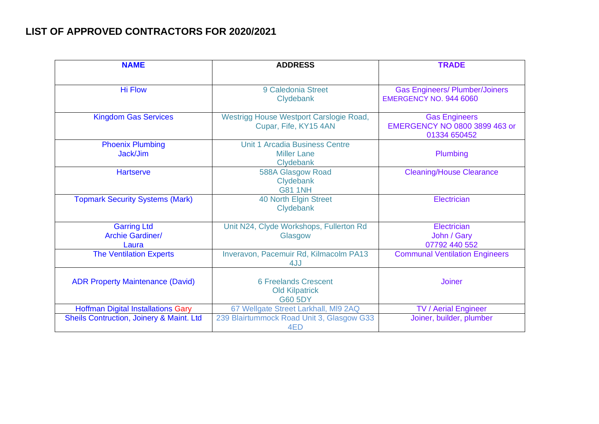## **LIST OF APPROVED CONTRACTORS FOR 2020/2021**

| <b>NAME</b>                                            | <b>ADDRESS</b>                                                           | <b>TRADE</b>                                                           |
|--------------------------------------------------------|--------------------------------------------------------------------------|------------------------------------------------------------------------|
| <b>Hi Flow</b>                                         | 9 Caledonia Street<br>Clydebank                                          | <b>Gas Engineers/ Plumber/Joiners</b><br><b>EMERGENCY NO. 944 6060</b> |
| <b>Kingdom Gas Services</b>                            | Westrigg House Westport Carslogie Road,<br>Cupar, Fife, KY15 4AN         | <b>Gas Engineers</b><br>EMERGENCY NO 0800 3899 463 or<br>01334 650452  |
| <b>Phoenix Plumbing</b><br>Jack/Jim                    | <b>Unit 1 Arcadia Business Centre</b><br><b>Miller Lane</b><br>Clydebank | Plumbing                                                               |
| <b>Hartserve</b>                                       | 588A Glasgow Road<br>Clydebank<br><b>G81 1NH</b>                         | <b>Cleaning/House Clearance</b>                                        |
| <b>Topmark Security Systems (Mark)</b>                 | 40 North Elgin Street<br>Clydebank                                       | Electrician                                                            |
| <b>Garring Ltd</b><br><b>Archie Gardiner/</b><br>Laura | Unit N24, Clyde Workshops, Fullerton Rd<br>Glasgow                       | Electrician<br>John / Gary<br>07792 440 552                            |
| <b>The Ventilation Experts</b>                         | Inveravon, Pacemuir Rd, Kilmacolm PA13<br>4JJ                            | <b>Communal Ventilation Engineers</b>                                  |
| <b>ADR Property Maintenance (David)</b>                | <b>6 Freelands Crescent</b><br><b>Old Kilpatrick</b><br><b>G60 5DY</b>   | <b>Joiner</b>                                                          |
| <b>Hoffman Digital Installations Gary</b>              | 67 Wellgate Street Larkhall, MI9 2AQ                                     | <b>TV / Aerial Engineer</b>                                            |
| Sheils Contruction, Joinery & Maint. Ltd               | 239 Blairtummock Road Unit 3, Glasgow G33<br>4ED                         | Joiner, builder, plumber                                               |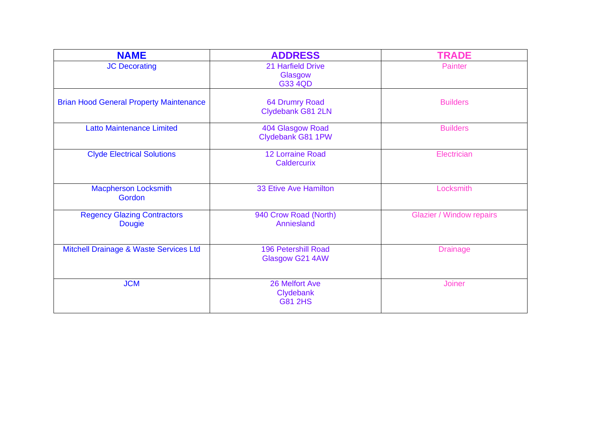| <b>NAME</b>                                         | <b>ADDRESS</b>                                | <b>TRADE</b>                    |
|-----------------------------------------------------|-----------------------------------------------|---------------------------------|
| <b>JC Decorating</b>                                | 21 Harfield Drive<br>Glasgow<br>G33 4QD       | <b>Painter</b>                  |
| <b>Brian Hood General Property Maintenance</b>      | <b>64 Drumry Road</b><br>Clydebank G81 2LN    | <b>Builders</b>                 |
| <b>Latto Maintenance Limited</b>                    | 404 Glasgow Road<br>Clydebank G81 1PW         | <b>Builders</b>                 |
| <b>Clyde Electrical Solutions</b>                   | <b>12 Lorraine Road</b><br><b>Caldercurix</b> | Electrician                     |
| <b>Macpherson Locksmith</b><br>Gordon               | 33 Etive Ave Hamilton                         | Locksmith                       |
| <b>Regency Glazing Contractors</b><br><b>Dougie</b> | 940 Crow Road (North)<br>Anniesland           | <b>Glazier / Window repairs</b> |
| Mitchell Drainage & Waste Services Ltd              | <b>196 Petershill Road</b><br>Glasgow G21 4AW | <b>Drainage</b>                 |
| <b>JCM</b>                                          | 26 Melfort Ave<br>Clydebank<br><b>G81 2HS</b> | <b>Joiner</b>                   |